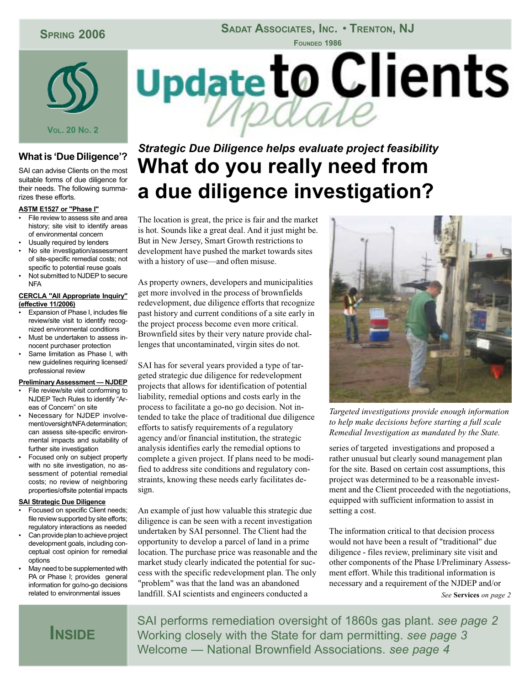## **SPRING 2006**

### SADAT ASSOCIATES, INC. • TRENTON, NJ



### **What is 'Due Diligence'?**

SAI can advise Clients on the most suitable forms of due diligence for their needs. The following summarizes these efforts.

#### **ASTM E1527 or "Phase I"**

- File review to assess site and area history; site visit to identify areas of environmental concern
- Usually required by lenders
- No site investigation/assessment of site-specific remedial costs; not specific to potential reuse goals
- Not submitted to NJDEP to secure **NFA**

#### **CERCLA "All Appropriate Inquiry" (effective 11/2006)**

- Expansion of Phase I, includes file review/site visit to identify recognized environmental conditions
- Must be undertaken to assess innocent purchaser protection
- Same limitation as Phase I, with new guidelines requiring licensed/ professional review

#### **Preliminary Assessment — NJDEP**

- File review/site visit conforming to NJDEP Tech Rules to identify "Areas of Concern" on site
- Necessary for NJDEP involvement/oversight/NFA determination; can assess site-specific environmental impacts and suitability of further site investigation
- Focused only on subject property with no site investigation, no assessment of potential remedial costs; no review of neighboring properties/offsite potential impacts

#### **SAI Strategic Due Diligence**

- Focused on specific Client needs; file review supported by site efforts; regulatory interactions as needed
- Can provide plan to achieve project development goals, including conceptual cost opinion for remedial options
- May need to be supplemented with PA or Phase I; provides general information for go/no-go decisions related to environmental issues



# *Strategic Due Diligence helps evaluate project feasibility* **What do you really need from a due diligence investigation?**

The location is great, the price is fair and the market is hot. Sounds like a great deal. And it just might be. But in New Jersey, Smart Growth restrictions to development have pushed the market towards sites with a history of use—and often misuse.

As property owners, developers and municipalities get more involved in the process of brownfields redevelopment, due diligence efforts that recognize past history and current conditions of a site early in the project process become even more critical. Brownfield sites by their very nature provide challenges that uncontaminated, virgin sites do not.

SAI has for several years provided a type of targeted strategic due diligence for redevelopment projects that allows for identification of potential liability, remedial options and costs early in the process to facilitate a go-no go decision. Not intended to take the place of traditional due diligence efforts to satisfy requirements of a regulatory agency and/or financial institution, the strategic analysis identifies early the remedial options to complete a given project. If plans need to be modified to address site conditions and regulatory constraints, knowing these needs early facilitates design.

An example of just how valuable this strategic due diligence is can be seen with a recent investigation undertaken by SAI personnel. The Client had the opportunity to develop a parcel of land in a prime location. The purchase price was reasonable and the market study clearly indicated the potential for success with the specific redevelopment plan. The only "problem" was that the land was an abandoned landfill. SAI scientists and engineers conducted a



*Targeted investigations provide enough information to help make decisions before starting a full scale Remedial Investigation as mandated by the State.*

series of targeted investigations and proposed a rather unusual but clearly sound management plan for the site. Based on certain cost assumptions, this project was determined to be a reasonable investment and the Client proceeded with the negotiations, equipped with sufficient information to assist in setting a cost.

The information critical to that decision process would not have been a result of "traditional" due diligence - files review, preliminary site visit and other components of the Phase I/Preliminary Assessment effort. While this traditional information is necessary and a requirement of the NJDEP and/or *See* **Services** *on page 2*

## **INSIDE**

SAI performs remediation oversight of 1860s gas plant. *see page 2* Working closely with the State for dam permitting. *see page 3* Welcome — National Brownfield Associations. *see page 4*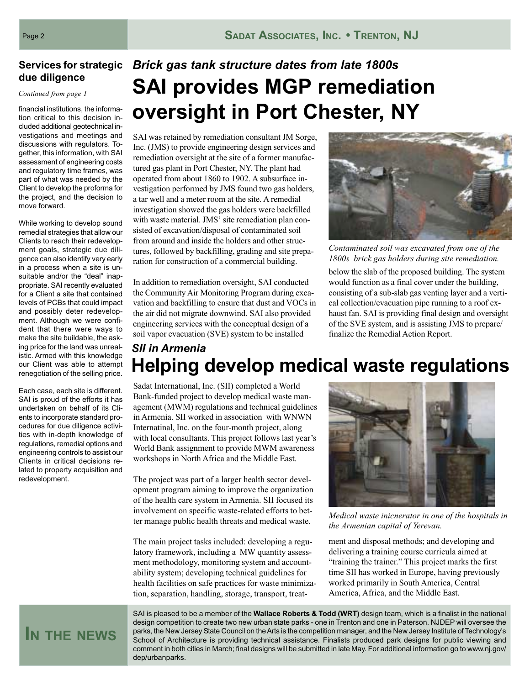# **due diligence**

*Continued from page 1*

financial institutions, the information critical to this decision included additional geotechnical investigations and meetings and discussions with regulators. Together, this information, with SAI assessment of engineering costs and regulatory time frames, was part of what was needed by the Client to develop the proforma for the project, and the decision to move forward.

While working to develop sound remedial strategies that allow our Clients to reach their redevelopment goals, strategic due diligence can also identify very early in a process when a site is unsuitable and/or the "deal" inappropriate. SAI recently evaluated for a Client a site that contained levels of PCBs that could impact and possibly deter redevelopment. Although we were confident that there were ways to make the site buildable, the asking price for the land was unrealistic. Armed with this knowledge our Client was able to attempt renegotiation of the selling price.

Each case, each site is different. SAI is proud of the efforts it has undertaken on behalf of its Clients to incorporate standard procedures for due diligence activities with in-depth knowledge of regulations, remedial options and engineering controls to assist our Clients in critical decisions related to property acquisition and redevelopment.

# **Services for strategic** *Brick gas tank structure dates from late 1800s* **SAI provides MGP remediation oversight in Port Chester, NY**

SAI was retained by remediation consultant JM Sorge, Inc. (JMS) to provide engineering design services and remediation oversight at the site of a former manufactured gas plant in Port Chester, NY. The plant had operated from about 1860 to 1902. A subsurface investigation performed by JMS found two gas holders, a tar well and a meter room at the site. A remedial investigation showed the gas holders were backfilled with waste material. JMS' site remediation plan consisted of excavation/disposal of contaminated soil from around and inside the holders and other structures, followed by backfilling, grading and site preparation for construction of a commercial building.

In addition to remediation oversight, SAI conducted the Community Air Monitoring Program during excavation and backfilling to ensure that dust and VOCs in the air did not migrate downwind. SAI also provided engineering services with the conceptual design of a soil vapor evacuation (SVE) system to be installed



*Contaminated soil was excavated from one of the 1800s brick gas holders during site remediation.*

below the slab of the proposed building. The system would function as a final cover under the building, consisting of a sub-slab gas venting layer and a vertical collection/evacuation pipe running to a roof exhaust fan. SAI is providing final design and oversight of the SVE system, and is assisting JMS to prepare/ finalize the Remedial Action Report.

## *SII in Armenia* **Helping develop medical waste regulations**

Sadat International, Inc. (SII) completed a World Bank-funded project to develop medical waste management (MWM) regulations and technical guidelines in Armenia. SII worked in association with WNWN Internatinal, Inc. on the four-month project, along with local consultants. This project follows last year's World Bank assignment to provide MWM awareness workshops in North Africa and the Middle East.

The project was part of a larger health sector development program aiming to improve the organization of the health care system in Armenia. SII focused its involvement on specific waste-related efforts to better manage public health threats and medical waste.

The main project tasks included: developing a regulatory framework, including a MW quantity assessment methodology, monitoring system and accountability system; developing technical guidelines for health facilities on safe practices for waste minimization, separation, handling, storage, transport, treat-



*Medical waste inicnerator in one of the hospitals in the Armenian capital of Yerevan.*

ment and disposal methods; and developing and delivering a training course curricula aimed at "training the trainer." This project marks the first time SII has worked in Europe, having previously worked primarily in South America, Central America, Africa, and the Middle East.

SAI is pleased to be a member of the **Wallace Roberts & Todd (WRT)** design team, which is a finalist in the national design competition to create two new urban state parks - one in Trenton and one in Paterson. NJDEP will oversee the parks, the New Jersey State Council on the Arts is the competition manager, and the New Jersey Institute of Technology's School of Architecture is providing technical assistance. Finalists produced park designs for public viewing and comment in both cities in March; final designs will be submitted in late May. For additional information go to www.nj.gov/ dep/urbanparks.

# **IN THE NEWS**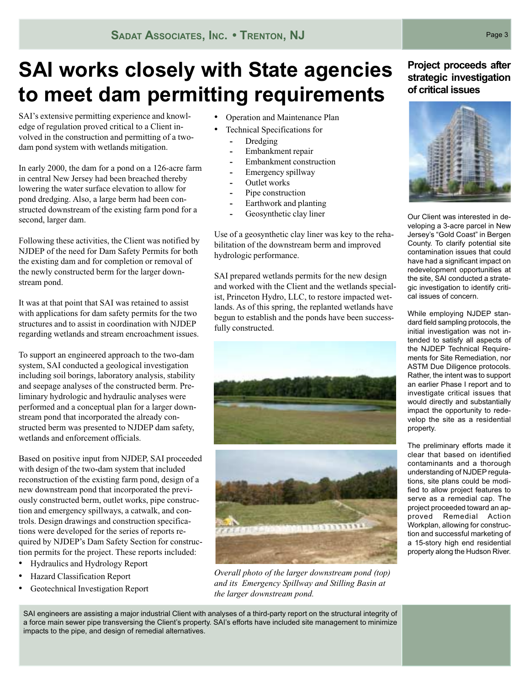# **SAI works closely with State agencies to meet dam permitting requirements**

SAI's extensive permitting experience and knowledge of regulation proved critical to a Client involved in the construction and permitting of a twodam pond system with wetlands mitigation.

In early 2000, the dam for a pond on a 126-acre farm in central New Jersey had been breached thereby lowering the water surface elevation to allow for pond dredging. Also, a large berm had been constructed downstream of the existing farm pond for a second, larger dam.

Following these activities, the Client was notified by NJDEP of the need for Dam Safety Permits for both the existing dam and for completion or removal of the newly constructed berm for the larger downstream pond.

It was at that point that SAI was retained to assist with applications for dam safety permits for the two structures and to assist in coordination with NJDEP regarding wetlands and stream encroachment issues.

To support an engineered approach to the two-dam system, SAI conducted a geological investigation including soil borings, laboratory analysis, stability and seepage analyses of the constructed berm. Preliminary hydrologic and hydraulic analyses were performed and a conceptual plan for a larger downstream pond that incorporated the already constructed berm was presented to NJDEP dam safety, wetlands and enforcement officials.

Based on positive input from NJDEP, SAI proceeded with design of the two-dam system that included reconstruction of the existing farm pond, design of a new downstream pond that incorporated the previously constructed berm, outlet works, pipe construction and emergency spillways, a catwalk, and controls. Design drawings and construction specifications were developed for the series of reports required by NJDEP's Dam Safety Section for construction permits for the project. These reports included:

- Hydraulics and Hydrology Report
- Hazard Classification Report
- Geotechnical Investigation Report
- Operation and Maintenance Plan
	- Technical Specifications for
		- **-** Dredging
		- **-** Embankment repair
		- **-** Embankment construction
		- **-** Emergency spillway
		- **-** Outlet works
		- **-** Pipe construction
		- **-** Earthwork and planting
		- **-** Geosynthetic clay liner

Use of a geosynthetic clay liner was key to the rehabilitation of the downstream berm and improved hydrologic performance.

SAI prepared wetlands permits for the new design and worked with the Client and the wetlands specialist, Princeton Hydro, LLC, to restore impacted wetlands. As of this spring, the replanted wetlands have begun to establish and the ponds have been successfully constructed.





*Overall photo of the larger downstream pond (top) and its Emergency Spillway and Stilling Basin at the larger downstream pond.*

**Project proceeds after strategic investigation of critical issues**



Our Client was interested in developing a 3-acre parcel in New Jersey's "Gold Coast" in Bergen County. To clarify potential site contamination issues that could have had a significant impact on redevelopment opportunities at the site, SAI conducted a strategic investigation to identify critical issues of concern.

While employing NJDEP standard field sampling protocols, the initial investigation was not intended to satisfy all aspects of the NJDEP Technical Requirements for Site Remediation, nor ASTM Due Diligence protocols. Rather, the intent was to support an earlier Phase I report and to investigate critical issues that would directly and substantially impact the opportunity to redevelop the site as a residential property.

The preliminary efforts made it clear that based on identified contaminants and a thorough understanding of NJDEP regulations, site plans could be modified to allow project features to serve as a remedial cap. The project proceeded toward an approved Remedial Action Workplan, allowing for construction and successful marketing of a 15-story high end residential property along the Hudson River.

SAI engineers are assisting a major industrial Client with analyses of a third-party report on the structural integrity of a force main sewer pipe transversing the Client's property. SAI's efforts have included site management to minimize impacts to the pipe, and design of remedial alternatives.